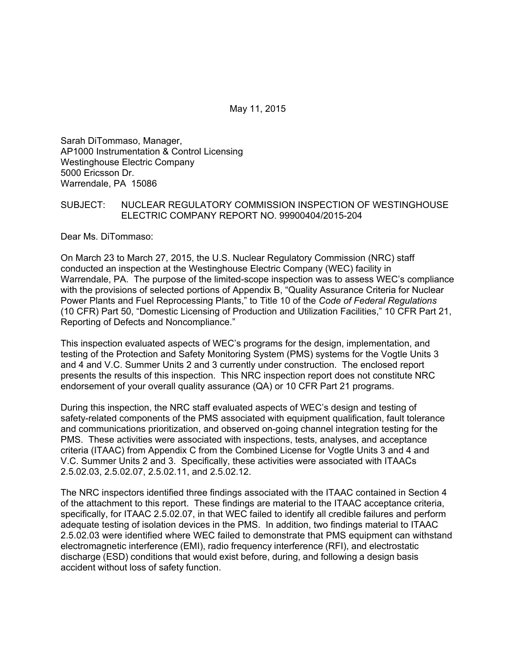May 11, 2015

Sarah DiTommaso, Manager, AP1000 Instrumentation & Control Licensing Westinghouse Electric Company 5000 Ericsson Dr. Warrendale, PA 15086

### SUBJECT: NUCLEAR REGULATORY COMMISSION INSPECTION OF WESTINGHOUSE ELECTRIC COMPANY REPORT NO. 99900404/2015-204

Dear Ms. DiTommaso:

On March 23 to March 27, 2015, the U.S. Nuclear Regulatory Commission (NRC) staff conducted an inspection at the Westinghouse Electric Company (WEC) facility in Warrendale, PA. The purpose of the limited-scope inspection was to assess WEC's compliance with the provisions of selected portions of Appendix B, "Quality Assurance Criteria for Nuclear Power Plants and Fuel Reprocessing Plants," to Title 10 of the *Code of Federal Regulations* (10 CFR) Part 50, "Domestic Licensing of Production and Utilization Facilities," 10 CFR Part 21, Reporting of Defects and Noncompliance."

This inspection evaluated aspects of WEC's programs for the design, implementation, and testing of the Protection and Safety Monitoring System (PMS) systems for the Vogtle Units 3 and 4 and V.C. Summer Units 2 and 3 currently under construction. The enclosed report presents the results of this inspection. This NRC inspection report does not constitute NRC endorsement of your overall quality assurance (QA) or 10 CFR Part 21 programs.

During this inspection, the NRC staff evaluated aspects of WEC's design and testing of safety-related components of the PMS associated with equipment qualification, fault tolerance and communications prioritization, and observed on-going channel integration testing for the PMS. These activities were associated with inspections, tests, analyses, and acceptance criteria (ITAAC) from Appendix C from the Combined License for Vogtle Units 3 and 4 and V.C. Summer Units 2 and 3. Specifically, these activities were associated with ITAACs 2.5.02.03, 2.5.02.07, 2.5.02.11, and 2.5.02.12.

The NRC inspectors identified three findings associated with the ITAAC contained in Section 4 of the attachment to this report. These findings are material to the ITAAC acceptance criteria, specifically, for ITAAC 2.5.02.07, in that WEC failed to identify all credible failures and perform adequate testing of isolation devices in the PMS. In addition, two findings material to ITAAC 2.5.02.03 were identified where WEC failed to demonstrate that PMS equipment can withstand electromagnetic interference (EMI), radio frequency interference (RFI), and electrostatic discharge (ESD) conditions that would exist before, during, and following a design basis accident without loss of safety function.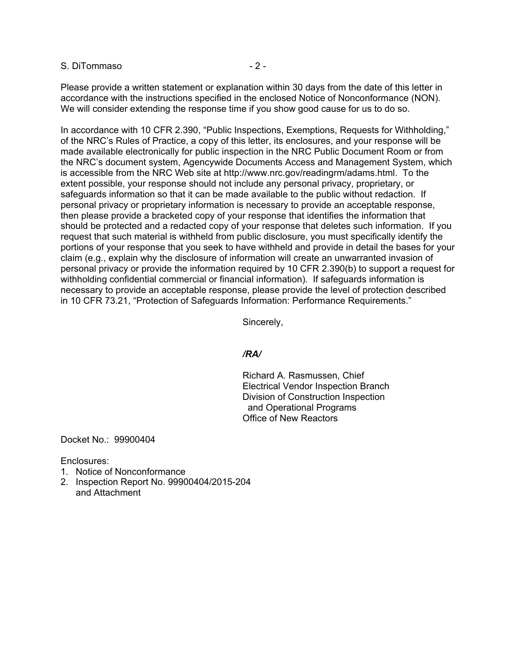#### S. DiTommaso  $-2$  -

Please provide a written statement or explanation within 30 days from the date of this letter in accordance with the instructions specified in the enclosed Notice of Nonconformance (NON). We will consider extending the response time if you show good cause for us to do so.

In accordance with 10 CFR 2.390, "Public Inspections, Exemptions, Requests for Withholding," of the NRC's Rules of Practice, a copy of this letter, its enclosures, and your response will be made available electronically for public inspection in the NRC Public Document Room or from the NRC's document system, Agencywide Documents Access and Management System, which is accessible from the NRC Web site at http://www.nrc.gov/readingrm/adams.html. To the extent possible, your response should not include any personal privacy, proprietary, or safeguards information so that it can be made available to the public without redaction. If personal privacy or proprietary information is necessary to provide an acceptable response, then please provide a bracketed copy of your response that identifies the information that should be protected and a redacted copy of your response that deletes such information. If you request that such material is withheld from public disclosure, you must specifically identify the portions of your response that you seek to have withheld and provide in detail the bases for your claim (e.g., explain why the disclosure of information will create an unwarranted invasion of personal privacy or provide the information required by 10 CFR 2.390(b) to support a request for withholding confidential commercial or financial information). If safeguards information is necessary to provide an acceptable response, please provide the level of protection described in 10 CFR 73.21, "Protection of Safeguards Information: Performance Requirements."

Sincerely,

#### */RA/*

Richard A. Rasmussen, Chief Electrical Vendor Inspection Branch Division of Construction Inspection and Operational Programs Office of New Reactors

Docket No.: 99900404

Enclosures:

- 1. Notice of Nonconformance
- 2. Inspection Report No. 99900404/2015-204 and Attachment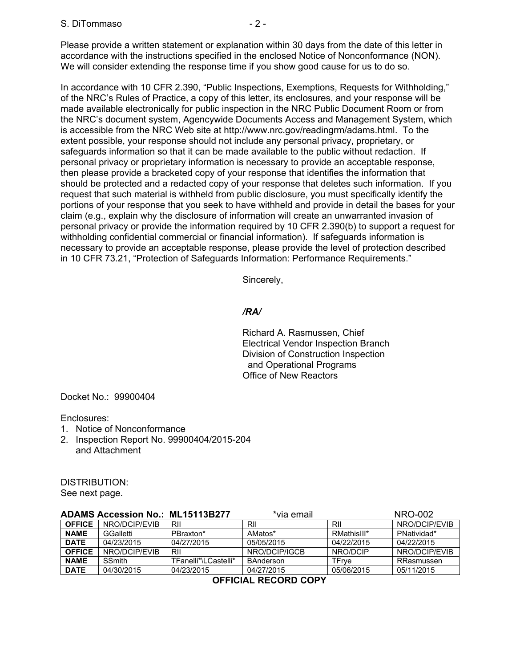Please provide a written statement or explanation within 30 days from the date of this letter in accordance with the instructions specified in the enclosed Notice of Nonconformance (NON). We will consider extending the response time if you show good cause for us to do so.

In accordance with 10 CFR 2.390, "Public Inspections, Exemptions, Requests for Withholding," of the NRC's Rules of Practice, a copy of this letter, its enclosures, and your response will be made available electronically for public inspection in the NRC Public Document Room or from the NRC's document system, Agencywide Documents Access and Management System, which is accessible from the NRC Web site at http://www.nrc.gov/readingrm/adams.html. To the extent possible, your response should not include any personal privacy, proprietary, or safeguards information so that it can be made available to the public without redaction. If personal privacy or proprietary information is necessary to provide an acceptable response, then please provide a bracketed copy of your response that identifies the information that should be protected and a redacted copy of your response that deletes such information. If you request that such material is withheld from public disclosure, you must specifically identify the portions of your response that you seek to have withheld and provide in detail the bases for your claim (e.g., explain why the disclosure of information will create an unwarranted invasion of personal privacy or provide the information required by 10 CFR 2.390(b) to support a request for withholding confidential commercial or financial information). If safeguards information is necessary to provide an acceptable response, please provide the level of protection described in 10 CFR 73.21, "Protection of Safeguards Information: Performance Requirements."

Sincerely,

# */RA/*

Richard A. Rasmussen, Chief Electrical Vendor Inspection Branch Division of Construction Inspection and Operational Programs Office of New Reactors

## Docket No.: 99900404

## Enclosures:

- 1. Notice of Nonconformance
- 2. Inspection Report No. 99900404/2015-204 and Attachment

#### DISTRIBUTION:

See next page.

|               | ADAMS Accession No.: ML15113B277 |                      | *via email    |             | NRO-002       |
|---------------|----------------------------------|----------------------|---------------|-------------|---------------|
| <b>OFFICE</b> | NRO/DCIP/FVIB                    | RII                  | RII           | RII         | NRO/DCIP/FVIB |
| <b>NAME</b>   | GGalletti                        | PBraxton*            | AMatos*       | RMathisIII* | PNatividad*   |
| <b>DATE</b>   | 04/23/2015                       | 04/27/2015           | 05/05/2015    | 04/22/2015  | 04/22/2015    |
| <b>OFFICE</b> | NRO/DCIP/EVIB                    | RII                  | NRO/DCIP/IGCB | NRO/DCIP    | NRO/DCIP/EVIB |
| <b>NAME</b>   | <b>SSmith</b>                    | TFanelli*\LCastelli* | BAnderson     | TFrve       | RRasmussen    |
| <b>DATE</b>   | 04/30/2015                       | 04/23/2015           | 04/27/2015    | 05/06/2015  | 05/11/2015    |

**OFFICIAL RECORD COPY**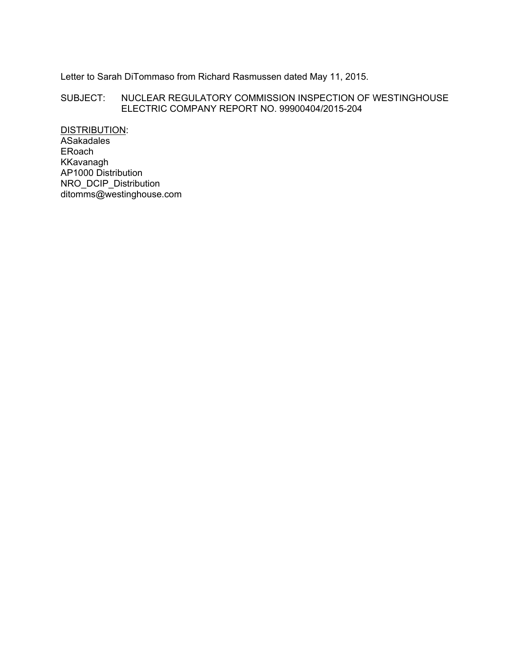Letter to Sarah DiTommaso from Richard Rasmussen dated May 11, 2015.

SUBJECT: NUCLEAR REGULATORY COMMISSION INSPECTION OF WESTINGHOUSE ELECTRIC COMPANY REPORT NO. 99900404/2015-204

DISTRIBUTION: ASakadales ERoach KKavanagh AP1000 Distribution NRO\_DCIP\_Distribution ditomms@westinghouse.com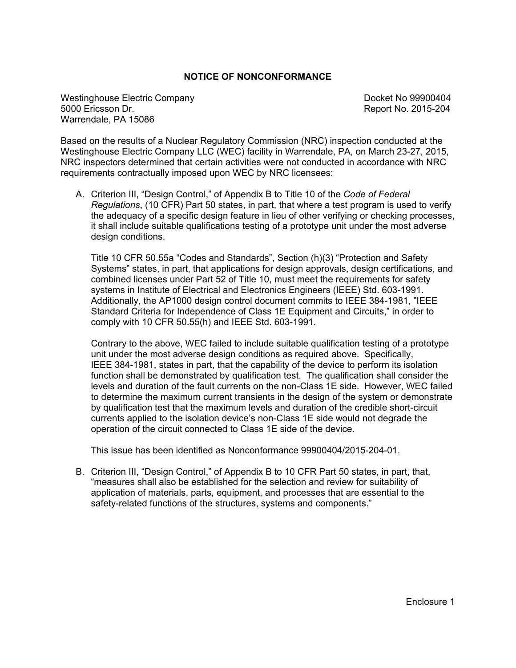#### **NOTICE OF NONCONFORMANCE**

Westinghouse Electric Company Docket No 99900404 5000 Ericsson Dr. Report No. 2015-204 Warrendale, PA 15086

Based on the results of a Nuclear Regulatory Commission (NRC) inspection conducted at the Westinghouse Electric Company LLC (WEC) facility in Warrendale, PA, on March 23-27, 2015, NRC inspectors determined that certain activities were not conducted in accordance with NRC requirements contractually imposed upon WEC by NRC licensees:

A. Criterion III, "Design Control," of Appendix B to Title 10 of the *Code of Federal Regulations*, (10 CFR) Part 50 states, in part, that where a test program is used to verify the adequacy of a specific design feature in lieu of other verifying or checking processes, it shall include suitable qualifications testing of a prototype unit under the most adverse design conditions.

Title 10 CFR 50.55a "Codes and Standards", Section (h)(3) "Protection and Safety Systems" states, in part, that applications for design approvals, design certifications, and combined licenses under Part 52 of Title 10, must meet the requirements for safety systems in Institute of Electrical and Electronics Engineers (IEEE) Std. 603-1991. Additionally, the AP1000 design control document commits to IEEE 384-1981, "IEEE Standard Criteria for Independence of Class 1E Equipment and Circuits," in order to comply with 10 CFR 50.55(h) and IEEE Std. 603-1991.

Contrary to the above, WEC failed to include suitable qualification testing of a prototype unit under the most adverse design conditions as required above. Specifically, IEEE 384-1981, states in part, that the capability of the device to perform its isolation function shall be demonstrated by qualification test. The qualification shall consider the levels and duration of the fault currents on the non-Class 1E side. However, WEC failed to determine the maximum current transients in the design of the system or demonstrate by qualification test that the maximum levels and duration of the credible short-circuit currents applied to the isolation device's non-Class 1E side would not degrade the operation of the circuit connected to Class 1E side of the device.

This issue has been identified as Nonconformance 99900404/2015-204-01.

B. Criterion III, "Design Control," of Appendix B to 10 CFR Part 50 states, in part, that, "measures shall also be established for the selection and review for suitability of application of materials, parts, equipment, and processes that are essential to the safety-related functions of the structures, systems and components."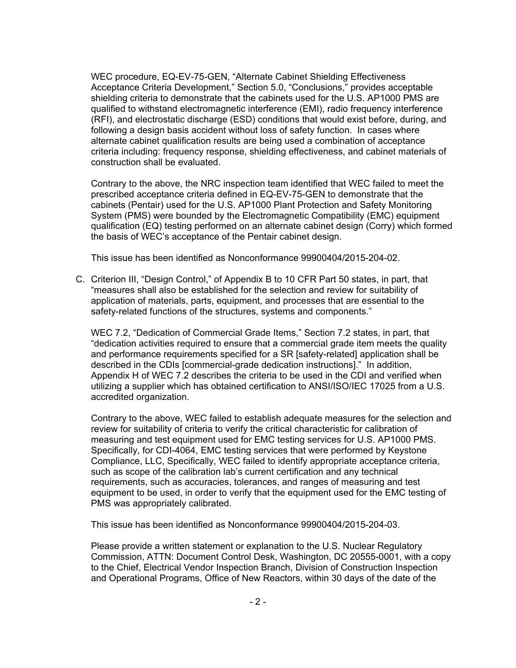WEC procedure, EQ-EV-75-GEN, "Alternate Cabinet Shielding Effectiveness Acceptance Criteria Development," Section 5.0, "Conclusions," provides acceptable shielding criteria to demonstrate that the cabinets used for the U.S. AP1000 PMS are qualified to withstand electromagnetic interference (EMI), radio frequency interference (RFI), and electrostatic discharge (ESD) conditions that would exist before, during, and following a design basis accident without loss of safety function. In cases where alternate cabinet qualification results are being used a combination of acceptance criteria including: frequency response, shielding effectiveness, and cabinet materials of construction shall be evaluated.

Contrary to the above, the NRC inspection team identified that WEC failed to meet the prescribed acceptance criteria defined in EQ-EV-75-GEN to demonstrate that the cabinets (Pentair) used for the U.S. AP1000 Plant Protection and Safety Monitoring System (PMS) were bounded by the Electromagnetic Compatibility (EMC) equipment qualification (EQ) testing performed on an alternate cabinet design (Corry) which formed the basis of WEC's acceptance of the Pentair cabinet design.

This issue has been identified as Nonconformance 99900404/2015-204-02.

C. Criterion III, "Design Control," of Appendix B to 10 CFR Part 50 states, in part, that "measures shall also be established for the selection and review for suitability of application of materials, parts, equipment, and processes that are essential to the safety-related functions of the structures, systems and components."

WEC 7.2, "Dedication of Commercial Grade Items," Section 7.2 states, in part, that "dedication activities required to ensure that a commercial grade item meets the quality and performance requirements specified for a SR [safety-related] application shall be described in the CDIs [commercial-grade dedication instructions]." In addition, Appendix H of WEC 7.2 describes the criteria to be used in the CDI and verified when utilizing a supplier which has obtained certification to ANSI/ISO/IEC 17025 from a U.S. accredited organization.

Contrary to the above, WEC failed to establish adequate measures for the selection and review for suitability of criteria to verify the critical characteristic for calibration of measuring and test equipment used for EMC testing services for U.S. AP1000 PMS. Specifically, for CDI-4064, EMC testing services that were performed by Keystone Compliance, LLC, Specifically, WEC failed to identify appropriate acceptance criteria, such as scope of the calibration lab's current certification and any technical requirements, such as accuracies, tolerances, and ranges of measuring and test equipment to be used, in order to verify that the equipment used for the EMC testing of PMS was appropriately calibrated.

This issue has been identified as Nonconformance 99900404/2015-204-03.

Please provide a written statement or explanation to the U.S. Nuclear Regulatory Commission, ATTN: Document Control Desk, Washington, DC 20555-0001, with a copy to the Chief, Electrical Vendor Inspection Branch, Division of Construction Inspection and Operational Programs, Office of New Reactors, within 30 days of the date of the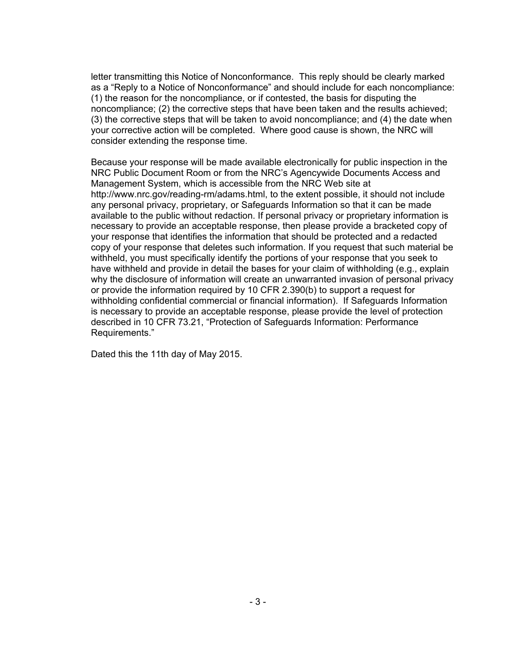letter transmitting this Notice of Nonconformance. This reply should be clearly marked as a "Reply to a Notice of Nonconformance" and should include for each noncompliance: (1) the reason for the noncompliance, or if contested, the basis for disputing the noncompliance; (2) the corrective steps that have been taken and the results achieved; (3) the corrective steps that will be taken to avoid noncompliance; and (4) the date when your corrective action will be completed. Where good cause is shown, the NRC will consider extending the response time.

Because your response will be made available electronically for public inspection in the NRC Public Document Room or from the NRC's Agencywide Documents Access and Management System, which is accessible from the NRC Web site at http://www.nrc.gov/reading-rm/adams.html, to the extent possible, it should not include any personal privacy, proprietary, or Safeguards Information so that it can be made available to the public without redaction. If personal privacy or proprietary information is necessary to provide an acceptable response, then please provide a bracketed copy of your response that identifies the information that should be protected and a redacted copy of your response that deletes such information. If you request that such material be withheld, you must specifically identify the portions of your response that you seek to have withheld and provide in detail the bases for your claim of withholding (e.g., explain why the disclosure of information will create an unwarranted invasion of personal privacy or provide the information required by 10 CFR 2.390(b) to support a request for withholding confidential commercial or financial information). If Safeguards Information is necessary to provide an acceptable response, please provide the level of protection described in 10 CFR 73.21, "Protection of Safeguards Information: Performance Requirements."

Dated this the 11th day of May 2015.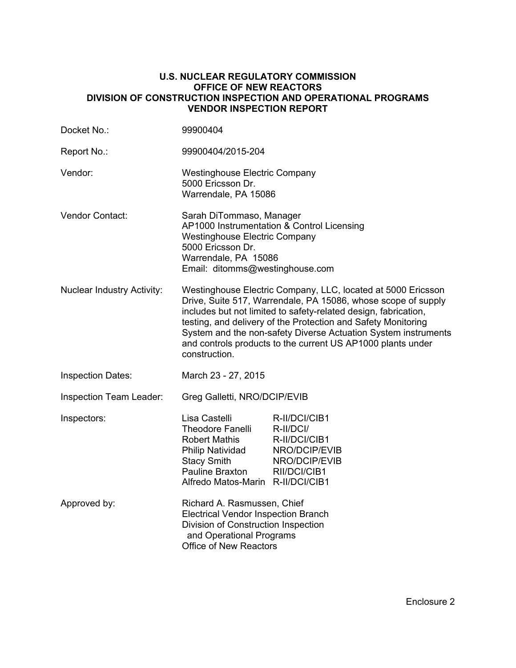#### **U.S. NUCLEAR REGULATORY COMMISSION OFFICE OF NEW REACTORS DIVISION OF CONSTRUCTION INSPECTION AND OPERATIONAL PROGRAMS VENDOR INSPECTION REPORT**

| Docket No.:                       | 99900404                                                                                                                                                                                                                                                                                                                                                                                                            |                                                                                               |  |
|-----------------------------------|---------------------------------------------------------------------------------------------------------------------------------------------------------------------------------------------------------------------------------------------------------------------------------------------------------------------------------------------------------------------------------------------------------------------|-----------------------------------------------------------------------------------------------|--|
| Report No.:                       | 99900404/2015-204                                                                                                                                                                                                                                                                                                                                                                                                   |                                                                                               |  |
| Vendor:                           | <b>Westinghouse Electric Company</b><br>5000 Ericsson Dr.<br>Warrendale, PA 15086                                                                                                                                                                                                                                                                                                                                   |                                                                                               |  |
| Vendor Contact:                   | Sarah DiTommaso, Manager<br>AP1000 Instrumentation & Control Licensing<br><b>Westinghouse Electric Company</b><br>5000 Ericsson Dr.<br>Warrendale, PA 15086<br>Email: ditomms@westinghouse.com                                                                                                                                                                                                                      |                                                                                               |  |
| <b>Nuclear Industry Activity:</b> | Westinghouse Electric Company, LLC, located at 5000 Ericsson<br>Drive, Suite 517, Warrendale, PA 15086, whose scope of supply<br>includes but not limited to safety-related design, fabrication,<br>testing, and delivery of the Protection and Safety Monitoring<br>System and the non-safety Diverse Actuation System instruments<br>and controls products to the current US AP1000 plants under<br>construction. |                                                                                               |  |
| <b>Inspection Dates:</b>          | March 23 - 27, 2015                                                                                                                                                                                                                                                                                                                                                                                                 |                                                                                               |  |
| Inspection Team Leader:           | Greg Galletti, NRO/DCIP/EVIB                                                                                                                                                                                                                                                                                                                                                                                        |                                                                                               |  |
| Inspectors:                       | Lisa Castelli<br><b>Theodore Fanelli</b><br><b>Robert Mathis</b><br><b>Philip Natividad</b><br><b>Stacy Smith</b><br>Pauline Braxton<br>Alfredo Matos-Marin R-II/DCI/CIB1                                                                                                                                                                                                                                           | R-II/DCI/CIB1<br>R-II/DCI/<br>R-II/DCI/CIB1<br>NRO/DCIP/EVIB<br>NRO/DCIP/EVIB<br>RII/DCI/CIB1 |  |
| Approved by:                      | Richard A. Rasmussen, Chief<br><b>Electrical Vendor Inspection Branch</b><br>Division of Construction Inspection<br>and Operational Programs<br><b>Office of New Reactors</b>                                                                                                                                                                                                                                       |                                                                                               |  |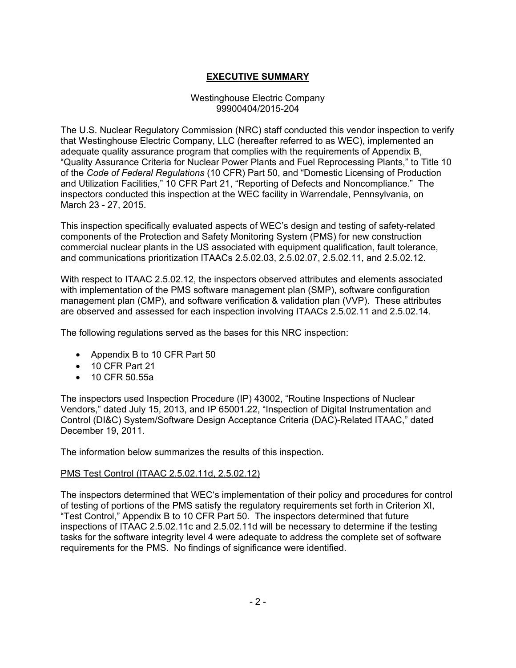# **EXECUTIVE SUMMARY**

### Westinghouse Electric Company 99900404/2015-204

The U.S. Nuclear Regulatory Commission (NRC) staff conducted this vendor inspection to verify that Westinghouse Electric Company, LLC (hereafter referred to as WEC), implemented an adequate quality assurance program that complies with the requirements of Appendix B, "Quality Assurance Criteria for Nuclear Power Plants and Fuel Reprocessing Plants," to Title 10 of the *Code of Federal Regulations* (10 CFR) Part 50, and "Domestic Licensing of Production and Utilization Facilities," 10 CFR Part 21, "Reporting of Defects and Noncompliance." The inspectors conducted this inspection at the WEC facility in Warrendale, Pennsylvania, on March 23 - 27, 2015.

This inspection specifically evaluated aspects of WEC's design and testing of safety-related components of the Protection and Safety Monitoring System (PMS) for new construction commercial nuclear plants in the US associated with equipment qualification, fault tolerance, and communications prioritization ITAACs 2.5.02.03, 2.5.02.07, 2.5.02.11, and 2.5.02.12.

With respect to ITAAC 2.5.02.12, the inspectors observed attributes and elements associated with implementation of the PMS software management plan (SMP), software configuration management plan (CMP), and software verification & validation plan (VVP). These attributes are observed and assessed for each inspection involving ITAACs 2.5.02.11 and 2.5.02.14.

The following regulations served as the bases for this NRC inspection:

- Appendix B to 10 CFR Part 50
- 10 CFR Part 21
- 10 CFR 50.55a

The inspectors used Inspection Procedure (IP) 43002, "Routine Inspections of Nuclear Vendors," dated July 15, 2013, and IP 65001.22, "Inspection of Digital Instrumentation and Control (DI&C) System/Software Design Acceptance Criteria (DAC)-Related ITAAC," dated December 19, 2011.

The information below summarizes the results of this inspection.

## PMS Test Control (ITAAC 2.5.02.11d, 2.5.02.12)

The inspectors determined that WEC's implementation of their policy and procedures for control of testing of portions of the PMS satisfy the regulatory requirements set forth in Criterion XI, "Test Control," Appendix B to 10 CFR Part 50. The inspectors determined that future inspections of ITAAC 2.5.02.11c and 2.5.02.11d will be necessary to determine if the testing tasks for the software integrity level 4 were adequate to address the complete set of software requirements for the PMS. No findings of significance were identified.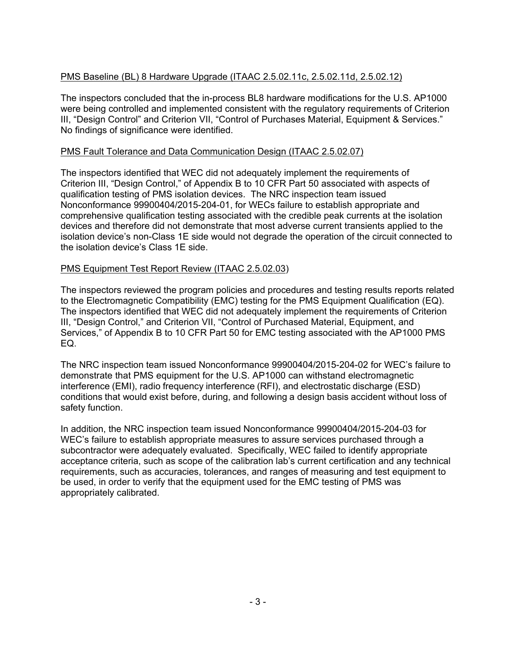# PMS Baseline (BL) 8 Hardware Upgrade (ITAAC 2.5.02.11c, 2.5.02.11d, 2.5.02.12)

The inspectors concluded that the in-process BL8 hardware modifications for the U.S. AP1000 were being controlled and implemented consistent with the regulatory requirements of Criterion III, "Design Control" and Criterion VII, "Control of Purchases Material, Equipment & Services." No findings of significance were identified.

## PMS Fault Tolerance and Data Communication Design (ITAAC 2.5.02.07)

The inspectors identified that WEC did not adequately implement the requirements of Criterion III, "Design Control," of Appendix B to 10 CFR Part 50 associated with aspects of qualification testing of PMS isolation devices. The NRC inspection team issued Nonconformance 99900404/2015-204-01, for WECs failure to establish appropriate and comprehensive qualification testing associated with the credible peak currents at the isolation devices and therefore did not demonstrate that most adverse current transients applied to the isolation device's non-Class 1E side would not degrade the operation of the circuit connected to the isolation device's Class 1E side.

# PMS Equipment Test Report Review (ITAAC 2.5.02.03)

The inspectors reviewed the program policies and procedures and testing results reports related to the Electromagnetic Compatibility (EMC) testing for the PMS Equipment Qualification (EQ). The inspectors identified that WEC did not adequately implement the requirements of Criterion III, "Design Control," and Criterion VII, "Control of Purchased Material, Equipment, and Services," of Appendix B to 10 CFR Part 50 for EMC testing associated with the AP1000 PMS EQ.

The NRC inspection team issued Nonconformance 99900404/2015-204-02 for WEC's failure to demonstrate that PMS equipment for the U.S. AP1000 can withstand electromagnetic interference (EMI), radio frequency interference (RFI), and electrostatic discharge (ESD) conditions that would exist before, during, and following a design basis accident without loss of safety function.

In addition, the NRC inspection team issued Nonconformance 99900404/2015-204-03 for WEC's failure to establish appropriate measures to assure services purchased through a subcontractor were adequately evaluated. Specifically, WEC failed to identify appropriate acceptance criteria, such as scope of the calibration lab's current certification and any technical requirements, such as accuracies, tolerances, and ranges of measuring and test equipment to be used, in order to verify that the equipment used for the EMC testing of PMS was appropriately calibrated.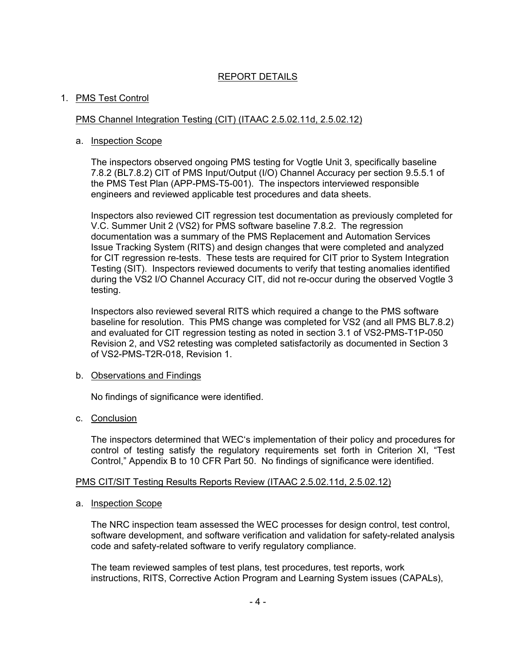# REPORT DETAILS

### 1. PMS Test Control

#### PMS Channel Integration Testing (CIT) (ITAAC 2.5.02.11d, 2.5.02.12)

#### a. Inspection Scope

The inspectors observed ongoing PMS testing for Vogtle Unit 3, specifically baseline 7.8.2 (BL7.8.2) CIT of PMS Input/Output (I/O) Channel Accuracy per section 9.5.5.1 of the PMS Test Plan (APP-PMS-T5-001). The inspectors interviewed responsible engineers and reviewed applicable test procedures and data sheets.

Inspectors also reviewed CIT regression test documentation as previously completed for V.C. Summer Unit 2 (VS2) for PMS software baseline 7.8.2. The regression documentation was a summary of the PMS Replacement and Automation Services Issue Tracking System (RITS) and design changes that were completed and analyzed for CIT regression re-tests. These tests are required for CIT prior to System Integration Testing (SIT). Inspectors reviewed documents to verify that testing anomalies identified during the VS2 I/O Channel Accuracy CIT, did not re-occur during the observed Vogtle 3 testing.

Inspectors also reviewed several RITS which required a change to the PMS software baseline for resolution. This PMS change was completed for VS2 (and all PMS BL7.8.2) and evaluated for CIT regression testing as noted in section 3.1 of VS2-PMS-T1P-050 Revision 2, and VS2 retesting was completed satisfactorily as documented in Section 3 of VS2-PMS-T2R-018, Revision 1.

#### b. Observations and Findings

No findings of significance were identified.

#### c. Conclusion

The inspectors determined that WEC's implementation of their policy and procedures for control of testing satisfy the regulatory requirements set forth in Criterion XI, "Test Control," Appendix B to 10 CFR Part 50. No findings of significance were identified.

#### PMS CIT/SIT Testing Results Reports Review (ITAAC 2.5.02.11d, 2.5.02.12)

#### a. Inspection Scope

The NRC inspection team assessed the WEC processes for design control, test control, software development, and software verification and validation for safety-related analysis code and safety-related software to verify regulatory compliance.

The team reviewed samples of test plans, test procedures, test reports, work instructions, RITS, Corrective Action Program and Learning System issues (CAPALs),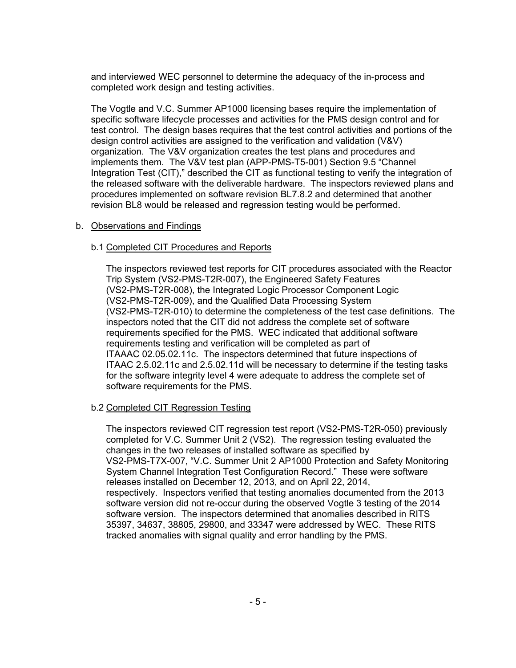and interviewed WEC personnel to determine the adequacy of the in-process and completed work design and testing activities.

The Vogtle and V.C. Summer AP1000 licensing bases require the implementation of specific software lifecycle processes and activities for the PMS design control and for test control. The design bases requires that the test control activities and portions of the design control activities are assigned to the verification and validation (V&V) organization. The V&V organization creates the test plans and procedures and implements them. The V&V test plan (APP-PMS-T5-001) Section 9.5 "Channel Integration Test (CIT)," described the CIT as functional testing to verify the integration of the released software with the deliverable hardware. The inspectors reviewed plans and procedures implemented on software revision BL7.8.2 and determined that another revision BL8 would be released and regression testing would be performed.

#### b. Observations and Findings

#### b.1 Completed CIT Procedures and Reports

The inspectors reviewed test reports for CIT procedures associated with the Reactor Trip System (VS2-PMS-T2R-007), the Engineered Safety Features (VS2-PMS-T2R-008), the Integrated Logic Processor Component Logic (VS2-PMS-T2R-009), and the Qualified Data Processing System (VS2-PMS-T2R-010) to determine the completeness of the test case definitions. The inspectors noted that the CIT did not address the complete set of software requirements specified for the PMS. WEC indicated that additional software requirements testing and verification will be completed as part of ITAAAC 02.05.02.11c. The inspectors determined that future inspections of ITAAC 2.5.02.11c and 2.5.02.11d will be necessary to determine if the testing tasks for the software integrity level 4 were adequate to address the complete set of software requirements for the PMS.

## b.2 Completed CIT Regression Testing

The inspectors reviewed CIT regression test report (VS2-PMS-T2R-050) previously completed for V.C. Summer Unit 2 (VS2). The regression testing evaluated the changes in the two releases of installed software as specified by VS2-PMS-T7X-007, "V.C. Summer Unit 2 AP1000 Protection and Safety Monitoring System Channel Integration Test Configuration Record." These were software releases installed on December 12, 2013, and on April 22, 2014, respectively. Inspectors verified that testing anomalies documented from the 2013 software version did not re-occur during the observed Vogtle 3 testing of the 2014 software version. The inspectors determined that anomalies described in RITS 35397, 34637, 38805, 29800, and 33347 were addressed by WEC. These RITS tracked anomalies with signal quality and error handling by the PMS.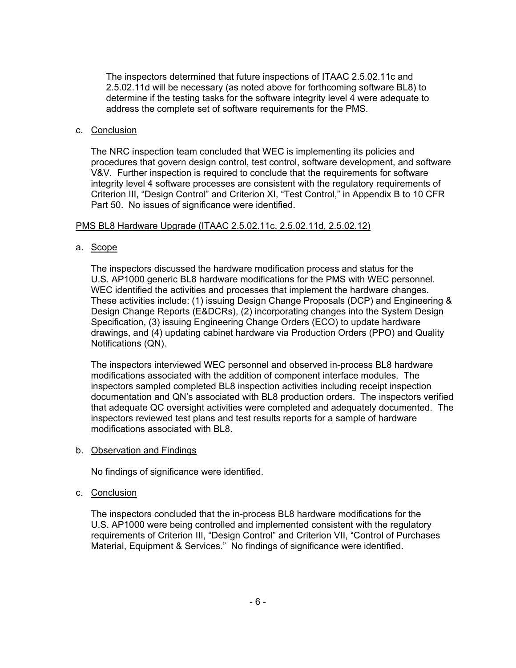The inspectors determined that future inspections of ITAAC 2.5.02.11c and 2.5.02.11d will be necessary (as noted above for forthcoming software BL8) to determine if the testing tasks for the software integrity level 4 were adequate to address the complete set of software requirements for the PMS.

#### c. Conclusion

The NRC inspection team concluded that WEC is implementing its policies and procedures that govern design control, test control, software development, and software V&V. Further inspection is required to conclude that the requirements for software integrity level 4 software processes are consistent with the regulatory requirements of Criterion III, "Design Control" and Criterion XI, "Test Control," in Appendix B to 10 CFR Part 50. No issues of significance were identified.

#### PMS BL8 Hardware Upgrade (ITAAC 2.5.02.11c, 2.5.02.11d, 2.5.02.12)

#### a. Scope

The inspectors discussed the hardware modification process and status for the U.S. AP1000 generic BL8 hardware modifications for the PMS with WEC personnel. WEC identified the activities and processes that implement the hardware changes. These activities include: (1) issuing Design Change Proposals (DCP) and Engineering & Design Change Reports (E&DCRs), (2) incorporating changes into the System Design Specification, (3) issuing Engineering Change Orders (ECO) to update hardware drawings, and (4) updating cabinet hardware via Production Orders (PPO) and Quality Notifications (QN).

The inspectors interviewed WEC personnel and observed in-process BL8 hardware modifications associated with the addition of component interface modules. The inspectors sampled completed BL8 inspection activities including receipt inspection documentation and QN's associated with BL8 production orders. The inspectors verified that adequate QC oversight activities were completed and adequately documented. The inspectors reviewed test plans and test results reports for a sample of hardware modifications associated with BL8.

b. Observation and Findings

No findings of significance were identified.

## c. Conclusion

The inspectors concluded that the in-process BL8 hardware modifications for the U.S. AP1000 were being controlled and implemented consistent with the regulatory requirements of Criterion III, "Design Control" and Criterion VII, "Control of Purchases Material, Equipment & Services." No findings of significance were identified.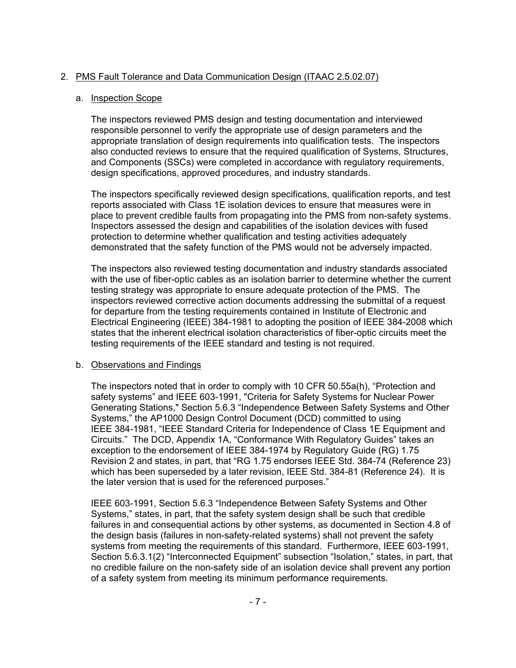# 2. PMS Fault Tolerance and Data Communication Design (ITAAC 2.5.02.07)

## a. Inspection Scope

The inspectors reviewed PMS design and testing documentation and interviewed responsible personnel to verify the appropriate use of design parameters and the appropriate translation of design requirements into qualification tests. The inspectors also conducted reviews to ensure that the required qualification of Systems, Structures, and Components (SSCs) were completed in accordance with regulatory requirements, design specifications, approved procedures, and industry standards.

The inspectors specifically reviewed design specifications, qualification reports, and test reports associated with Class 1E isolation devices to ensure that measures were in place to prevent credible faults from propagating into the PMS from non-safety systems. Inspectors assessed the design and capabilities of the isolation devices with fused protection to determine whether qualification and testing activities adequately demonstrated that the safety function of the PMS would not be adversely impacted.

The inspectors also reviewed testing documentation and industry standards associated with the use of fiber-optic cables as an isolation barrier to determine whether the current testing strategy was appropriate to ensure adequate protection of the PMS. The inspectors reviewed corrective action documents addressing the submittal of a request for departure from the testing requirements contained in Institute of Electronic and Electrical Engineering (IEEE) 384-1981 to adopting the position of IEEE 384-2008 which states that the inherent electrical isolation characteristics of fiber-optic circuits meet the testing requirements of the IEEE standard and testing is not required.

## b. Observations and Findings

The inspectors noted that in order to comply with 10 CFR 50.55a(h), "Protection and safety systems" and IEEE 603-1991, "Criteria for Safety Systems for Nuclear Power Generating Stations," Section 5.6.3 "Independence Between Safety Systems and Other Systems," the AP1000 Design Control Document (DCD) committed to using IEEE 384-1981, "IEEE Standard Criteria for Independence of Class 1E Equipment and Circuits." The DCD, Appendix 1A, "Conformance With Regulatory Guides" takes an exception to the endorsement of IEEE 384-1974 by Regulatory Guide (RG) 1.75 Revision 2 and states, in part, that "RG 1.75 endorses IEEE Std. 384-74 (Reference 23) which has been superseded by a later revision, IEEE Std. 384-81 (Reference 24). It is the later version that is used for the referenced purposes."

IEEE 603-1991, Section 5.6.3 "Independence Between Safety Systems and Other Systems," states, in part, that the safety system design shall be such that credible failures in and consequential actions by other systems, as documented in Section 4.8 of the design basis (failures in non-safety-related systems) shall not prevent the safety systems from meeting the requirements of this standard. Furthermore, IEEE 603-1991, Section 5.6.3.1(2) "Interconnected Equipment" subsection "Isolation," states, in part, that no credible failure on the non-safety side of an isolation device shall prevent any portion of a safety system from meeting its minimum performance requirements.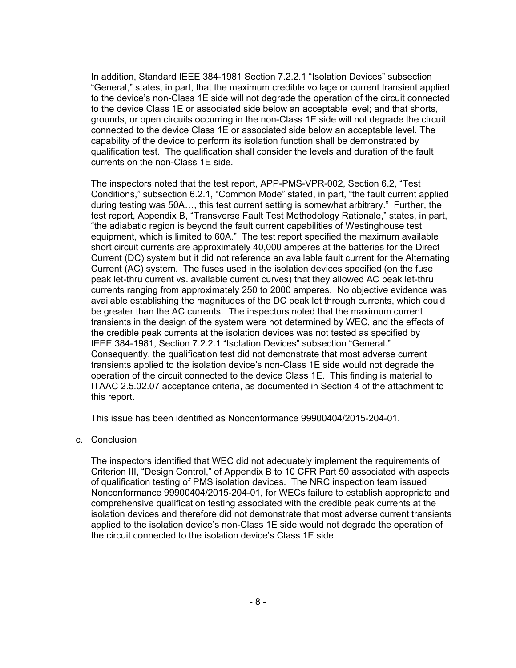In addition, Standard IEEE 384-1981 Section 7.2.2.1 "Isolation Devices" subsection "General," states, in part, that the maximum credible voltage or current transient applied to the device's non-Class 1E side will not degrade the operation of the circuit connected to the device Class 1E or associated side below an acceptable level; and that shorts, grounds, or open circuits occurring in the non-Class 1E side will not degrade the circuit connected to the device Class 1E or associated side below an acceptable level. The capability of the device to perform its isolation function shall be demonstrated by qualification test. The qualification shall consider the levels and duration of the fault currents on the non-Class 1E side.

The inspectors noted that the test report, APP-PMS-VPR-002, Section 6.2, "Test Conditions," subsection 6.2.1, "Common Mode" stated, in part, "the fault current applied during testing was 50A…, this test current setting is somewhat arbitrary." Further, the test report, Appendix B, "Transverse Fault Test Methodology Rationale," states, in part, "the adiabatic region is beyond the fault current capabilities of Westinghouse test equipment, which is limited to 60A." The test report specified the maximum available short circuit currents are approximately 40,000 amperes at the batteries for the Direct Current (DC) system but it did not reference an available fault current for the Alternating Current (AC) system. The fuses used in the isolation devices specified (on the fuse peak let-thru current vs. available current curves) that they allowed AC peak let-thru currents ranging from approximately 250 to 2000 amperes. No objective evidence was available establishing the magnitudes of the DC peak let through currents, which could be greater than the AC currents. The inspectors noted that the maximum current transients in the design of the system were not determined by WEC, and the effects of the credible peak currents at the isolation devices was not tested as specified by IEEE 384-1981, Section 7.2.2.1 "Isolation Devices" subsection "General." Consequently, the qualification test did not demonstrate that most adverse current transients applied to the isolation device's non-Class 1E side would not degrade the operation of the circuit connected to the device Class 1E. This finding is material to ITAAC 2.5.02.07 acceptance criteria, as documented in Section 4 of the attachment to this report.

This issue has been identified as Nonconformance 99900404/2015-204-01.

c. Conclusion

The inspectors identified that WEC did not adequately implement the requirements of Criterion III, "Design Control," of Appendix B to 10 CFR Part 50 associated with aspects of qualification testing of PMS isolation devices. The NRC inspection team issued Nonconformance 99900404/2015-204-01, for WECs failure to establish appropriate and comprehensive qualification testing associated with the credible peak currents at the isolation devices and therefore did not demonstrate that most adverse current transients applied to the isolation device's non-Class 1E side would not degrade the operation of the circuit connected to the isolation device's Class 1E side.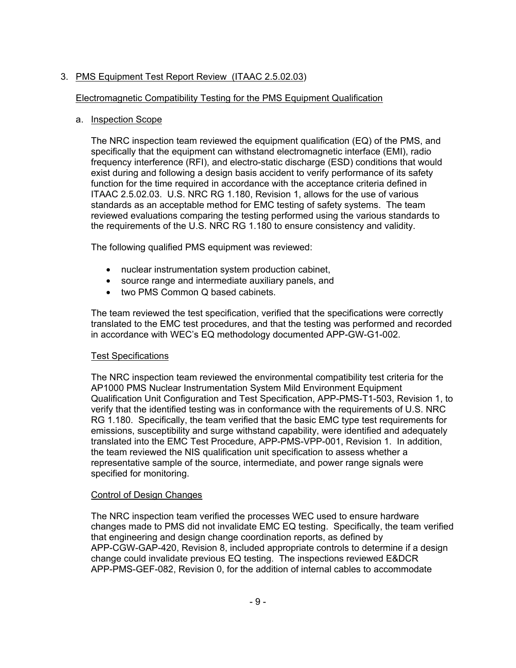# 3. PMS Equipment Test Report Review (ITAAC 2.5.02.03)

# Electromagnetic Compatibility Testing for the PMS Equipment Qualification

## a. Inspection Scope

The NRC inspection team reviewed the equipment qualification (EQ) of the PMS, and specifically that the equipment can withstand electromagnetic interface (EMI), radio frequency interference (RFI), and electro-static discharge (ESD) conditions that would exist during and following a design basis accident to verify performance of its safety function for the time required in accordance with the acceptance criteria defined in ITAAC 2.5.02.03. U.S. NRC RG 1.180, Revision 1, allows for the use of various standards as an acceptable method for EMC testing of safety systems. The team reviewed evaluations comparing the testing performed using the various standards to the requirements of the U.S. NRC RG 1.180 to ensure consistency and validity.

The following qualified PMS equipment was reviewed:

- nuclear instrumentation system production cabinet,
- source range and intermediate auxiliary panels, and
- two PMS Common Q based cabinets.

The team reviewed the test specification, verified that the specifications were correctly translated to the EMC test procedures, and that the testing was performed and recorded in accordance with WEC's EQ methodology documented APP-GW-G1-002.

## Test Specifications

The NRC inspection team reviewed the environmental compatibility test criteria for the AP1000 PMS Nuclear Instrumentation System Mild Environment Equipment Qualification Unit Configuration and Test Specification, APP-PMS-T1-503, Revision 1, to verify that the identified testing was in conformance with the requirements of U.S. NRC RG 1.180. Specifically, the team verified that the basic EMC type test requirements for emissions, susceptibility and surge withstand capability, were identified and adequately translated into the EMC Test Procedure, APP-PMS-VPP-001, Revision 1. In addition, the team reviewed the NIS qualification unit specification to assess whether a representative sample of the source, intermediate, and power range signals were specified for monitoring.

## Control of Design Changes

The NRC inspection team verified the processes WEC used to ensure hardware changes made to PMS did not invalidate EMC EQ testing. Specifically, the team verified that engineering and design change coordination reports, as defined by APP-CGW-GAP-420, Revision 8, included appropriate controls to determine if a design change could invalidate previous EQ testing. The inspections reviewed E&DCR APP-PMS-GEF-082, Revision 0, for the addition of internal cables to accommodate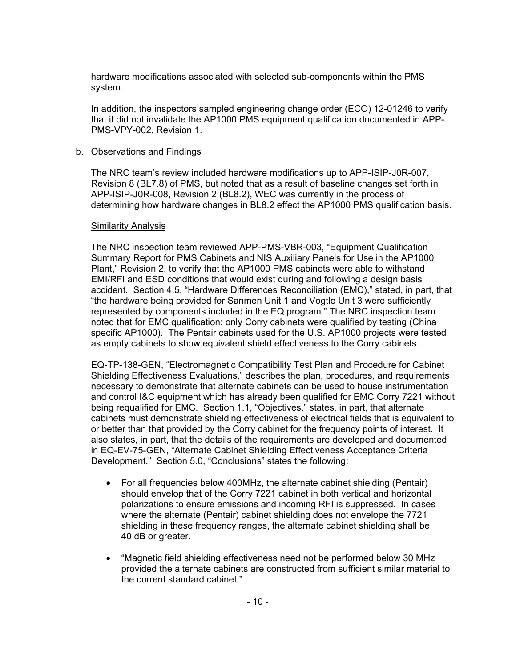hardware modifications associated with selected sub-components within the PMS system.

In addition, the inspectors sampled engineering change order (ECO) 12-01246 to verify that it did not invalidate the AP1000 PMS equipment qualification documented in APP-PMS-VPY-002, Revision 1.

#### b. Observations and Findings

The NRC team's review included hardware modifications up to APP-ISIP-J0R-007, Revision 8 (BL7.8) of PMS, but noted that as a result of baseline changes set forth in APP-ISIP-J0R-008, Revision 2 (BL8.2), WEC was currently in the process of determining how hardware changes in BL8.2 effect the AP1000 PMS qualification basis.

#### Similarity Analysis

The NRC inspection team reviewed APP-PMS-VBR-003, "Equipment Qualification Summary Report for PMS Cabinets and NIS Auxiliary Panels for Use in the AP1000 Plant," Revision 2, to verify that the AP1000 PMS cabinets were able to withstand EMI/RFI and ESD conditions that would exist during and following a design basis accident. Section 4.5, "Hardware Differences Reconciliation (EMC)," stated, in part, that "the hardware being provided for Sanmen Unit 1 and Vogtle Unit 3 were sufficiently represented by components included in the EQ program." The NRC inspection team noted that for EMC qualification; only Corry cabinets were qualified by testing (China specific AP1000). The Pentair cabinets used for the U.S. AP1000 projects were tested as empty cabinets to show equivalent shield effectiveness to the Corry cabinets.

EQ-TP-138-GEN, "Electromagnetic Compatibility Test Plan and Procedure for Cabinet Shielding Effectiveness Evaluations," describes the plan, procedures, and requirements necessary to demonstrate that alternate cabinets can be used to house instrumentation and control I&C equipment which has already been qualified for EMC Corry 7221 without being requalified for EMC. Section 1.1, "Objectives," states, in part, that alternate cabinets must demonstrate shielding effectiveness of electrical fields that is equivalent to or better than that provided by the Corry cabinet for the frequency points of interest. It also states, in part, that the details of the requirements are developed and documented in EQ-EV-75-GEN, "Alternate Cabinet Shielding Effectiveness Acceptance Criteria Development." Section 5.0, "Conclusions" states the following:

- For all frequencies below 400MHz, the alternate cabinet shielding (Pentair) should envelop that of the Corry 7221 cabinet in both vertical and horizontal polarizations to ensure emissions and incoming RFI is suppressed. In cases where the alternate (Pentair) cabinet shielding does not envelope the 7721 shielding in these frequency ranges, the alternate cabinet shielding shall be 40 dB or greater.
- "Magnetic field shielding effectiveness need not be performed below 30 MHz provided the alternate cabinets are constructed from sufficient similar material to the current standard cabinet."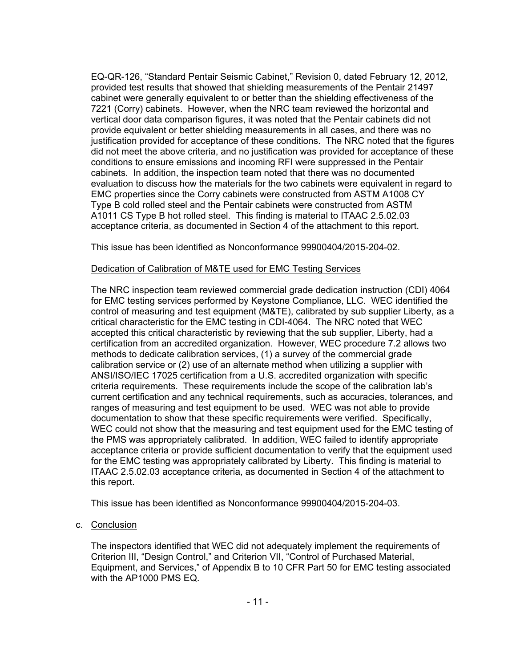EQ-QR-126, "Standard Pentair Seismic Cabinet," Revision 0, dated February 12, 2012, provided test results that showed that shielding measurements of the Pentair 21497 cabinet were generally equivalent to or better than the shielding effectiveness of the 7221 (Corry) cabinets. However, when the NRC team reviewed the horizontal and vertical door data comparison figures, it was noted that the Pentair cabinets did not provide equivalent or better shielding measurements in all cases, and there was no justification provided for acceptance of these conditions. The NRC noted that the figures did not meet the above criteria, and no justification was provided for acceptance of these conditions to ensure emissions and incoming RFI were suppressed in the Pentair cabinets. In addition, the inspection team noted that there was no documented evaluation to discuss how the materials for the two cabinets were equivalent in regard to EMC properties since the Corry cabinets were constructed from ASTM A1008 CY Type B cold rolled steel and the Pentair cabinets were constructed from ASTM A1011 CS Type B hot rolled steel. This finding is material to ITAAC 2.5.02.03 acceptance criteria, as documented in Section 4 of the attachment to this report.

This issue has been identified as Nonconformance 99900404/2015-204-02.

## Dedication of Calibration of M&TE used for EMC Testing Services

The NRC inspection team reviewed commercial grade dedication instruction (CDI) 4064 for EMC testing services performed by Keystone Compliance, LLC. WEC identified the control of measuring and test equipment (M&TE), calibrated by sub supplier Liberty, as a critical characteristic for the EMC testing in CDI-4064. The NRC noted that WEC accepted this critical characteristic by reviewing that the sub supplier, Liberty, had a certification from an accredited organization. However, WEC procedure 7.2 allows two methods to dedicate calibration services, (1) a survey of the commercial grade calibration service or (2) use of an alternate method when utilizing a supplier with ANSI/ISO/IEC 17025 certification from a U.S. accredited organization with specific criteria requirements. These requirements include the scope of the calibration lab's current certification and any technical requirements, such as accuracies, tolerances, and ranges of measuring and test equipment to be used. WEC was not able to provide documentation to show that these specific requirements were verified. Specifically, WEC could not show that the measuring and test equipment used for the EMC testing of the PMS was appropriately calibrated. In addition, WEC failed to identify appropriate acceptance criteria or provide sufficient documentation to verify that the equipment used for the EMC testing was appropriately calibrated by Liberty. This finding is material to ITAAC 2.5.02.03 acceptance criteria, as documented in Section 4 of the attachment to this report.

This issue has been identified as Nonconformance 99900404/2015-204-03.

## c. Conclusion

The inspectors identified that WEC did not adequately implement the requirements of Criterion III, "Design Control," and Criterion VII, "Control of Purchased Material, Equipment, and Services," of Appendix B to 10 CFR Part 50 for EMC testing associated with the AP1000 PMS EQ.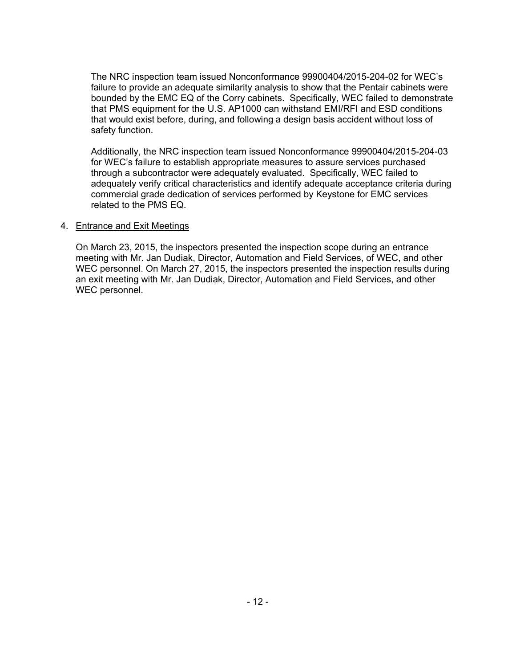The NRC inspection team issued Nonconformance 99900404/2015-204-02 for WEC's failure to provide an adequate similarity analysis to show that the Pentair cabinets were bounded by the EMC EQ of the Corry cabinets. Specifically, WEC failed to demonstrate that PMS equipment for the U.S. AP1000 can withstand EMI/RFI and ESD conditions that would exist before, during, and following a design basis accident without loss of safety function.

Additionally, the NRC inspection team issued Nonconformance 99900404/2015-204-03 for WEC's failure to establish appropriate measures to assure services purchased through a subcontractor were adequately evaluated. Specifically, WEC failed to adequately verify critical characteristics and identify adequate acceptance criteria during commercial grade dedication of services performed by Keystone for EMC services related to the PMS EQ.

#### 4. Entrance and Exit Meetings

On March 23, 2015, the inspectors presented the inspection scope during an entrance meeting with Mr. Jan Dudiak, Director, Automation and Field Services, of WEC, and other WEC personnel. On March 27, 2015, the inspectors presented the inspection results during an exit meeting with Mr. Jan Dudiak, Director, Automation and Field Services, and other WEC personnel.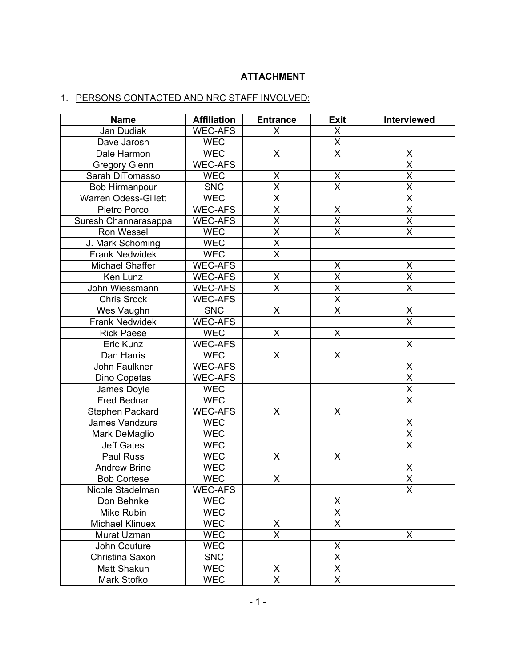# **ATTACHMENT**

# 1. PERSONS CONTACTED AND NRC STAFF INVOLVED:

| <b>Name</b>                 | <b>Affiliation</b> | <b>Entrance</b>         | <b>Exit</b>                         | Interviewed                         |
|-----------------------------|--------------------|-------------------------|-------------------------------------|-------------------------------------|
| Jan Dudiak                  | <b>WEC-AFS</b>     | X                       | X                                   |                                     |
| Dave Jarosh                 | <b>WEC</b>         |                         | $\overline{\mathsf{X}}$             |                                     |
| Dale Harmon                 | <b>WEC</b>         | $\mathsf{X}$            | $\overline{\mathsf{x}}$             | X                                   |
| <b>Gregory Glenn</b>        | <b>WEC-AFS</b>     |                         |                                     | $\overline{\mathsf{x}}$             |
| Sarah DiTomasso             | <b>WEC</b>         | Χ                       | X                                   | $\overline{\mathsf{x}}$             |
| <b>Bob Hirmanpour</b>       | SNC                | $\overline{\mathsf{x}}$ | $\overline{\mathsf{x}}$             | $\overline{\mathsf{x}}$             |
| <b>Warren Odess-Gillett</b> | <b>WEC</b>         | $\overline{\mathsf{x}}$ |                                     | $\overline{\mathsf{x}}$             |
| Pietro Porco                | <b>WEC-AFS</b>     | $\overline{\mathsf{x}}$ |                                     | $\overline{\mathsf{x}}$             |
| Suresh Channarasappa        | <b>WEC-AFS</b>     | $\overline{\mathsf{x}}$ | $\frac{\overline{X}}{\overline{X}}$ | $\overline{\mathsf{x}}$             |
| Ron Wessel                  | <b>WEC</b>         | $\overline{\mathsf{x}}$ | $\overline{\mathsf{x}}$             | $\overline{\mathsf{x}}$             |
| J. Mark Schoming            | <b>WEC</b>         | $\overline{\mathsf{X}}$ |                                     |                                     |
| <b>Frank Nedwidek</b>       | <b>WEC</b>         | $\overline{\mathsf{x}}$ |                                     |                                     |
| Michael Shaffer             | <b>WEC-AFS</b>     |                         | X                                   | $\pmb{\mathsf{X}}$                  |
| Ken Lunz                    | <b>WEC-AFS</b>     | X                       | $\overline{\mathsf{x}}$             | $\overline{\mathsf{x}}$             |
| John Wiessmann              | <b>WEC-AFS</b>     | $\overline{\mathsf{x}}$ | $\overline{\mathsf{x}}$             | $\overline{\mathsf{X}}$             |
| <b>Chris Srock</b>          | <b>WEC-AFS</b>     |                         | $\overline{\mathsf{x}}$             |                                     |
| Wes Vaughn                  | <b>SNC</b>         | X                       | $\overline{\mathsf{x}}$             |                                     |
| <b>Frank Nedwidek</b>       | <b>WEC-AFS</b>     |                         |                                     | $\frac{\overline{X}}{\overline{X}}$ |
| <b>Rick Paese</b>           | <b>WEC</b>         | X                       | X                                   |                                     |
| Eric Kunz                   | <b>WEC-AFS</b>     |                         |                                     | $\mathsf X$                         |
| Dan Harris                  | <b>WEC</b>         | X                       | X                                   |                                     |
| John Faulkner               | <b>WEC-AFS</b>     |                         |                                     |                                     |
| Dino Copetas                | <b>WEC-AFS</b>     |                         |                                     | $\frac{\mathsf{X}}{\mathsf{X}}$     |
| James Doyle                 | <b>WEC</b>         |                         |                                     | $\frac{\overline{X}}{\overline{X}}$ |
| <b>Fred Bednar</b>          | <b>WEC</b>         |                         |                                     |                                     |
| Stephen Packard             | <b>WEC-AFS</b>     | X                       | X                                   |                                     |
| James Vandzura              | <b>WEC</b>         |                         |                                     |                                     |
| Mark DeMaglio               | <b>WEC</b>         |                         |                                     | $\frac{X}{X}$                       |
| <b>Jeff Gates</b>           | <b>WEC</b>         |                         |                                     | $\overline{\mathsf{x}}$             |
| Paul Russ                   | <b>WEC</b>         | X                       | X                                   |                                     |
| <b>Andrew Brine</b>         | <b>WEC</b>         |                         |                                     | X                                   |
| <b>Bob Cortese</b>          | <b>WEC</b>         | X                       |                                     | $\overline{\mathsf{x}}$             |
| Nicole Stadelman            | <b>WEC-AFS</b>     |                         |                                     | $\overline{\mathsf{x}}$             |
| Don Behnke                  | <b>WEC</b>         |                         | X                                   |                                     |
| Mike Rubin                  | <b>WEC</b>         |                         | $\overline{X}$                      |                                     |
| <b>Michael Klinuex</b>      | <b>WEC</b>         | X                       | $\overline{\mathsf{X}}$             |                                     |
| Murat Uzman                 | <b>WEC</b>         | $\overline{\mathsf{x}}$ |                                     | X                                   |
| John Couture                | <b>WEC</b>         |                         | X                                   |                                     |
| Christina Saxon             | <b>SNC</b>         |                         | $\overline{\mathsf{x}}$             |                                     |
| Matt Shakun                 | <b>WEC</b>         | X                       | $\overline{\mathsf{X}}$             |                                     |
| Mark Stofko                 | <b>WEC</b>         | X                       | X                                   |                                     |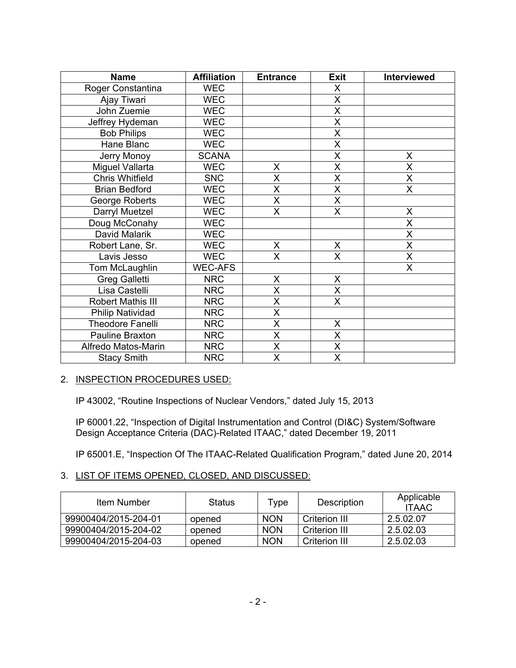| <b>Name</b>             | <b>Affiliation</b> | <b>Entrance</b>         | <b>Exit</b>             | Interviewed             |
|-------------------------|--------------------|-------------------------|-------------------------|-------------------------|
| Roger Constantina       | <b>WEC</b>         |                         | X                       |                         |
| Ajay Tiwari             | <b>WEC</b>         |                         | $\overline{\mathsf{X}}$ |                         |
| John Zuemie             | <b>WEC</b>         |                         | $\overline{\mathsf{X}}$ |                         |
| Jeffrey Hydeman         | <b>WEC</b>         |                         | $\overline{\mathsf{x}}$ |                         |
| <b>Bob Philips</b>      | <b>WEC</b>         |                         | X                       |                         |
| Hane Blanc              | <b>WEC</b>         |                         | X                       |                         |
| Jerry Monoy             | <b>SCANA</b>       |                         | X                       | X                       |
| Miguel Vallarta         | <b>WEC</b>         | X                       | $\overline{\mathsf{x}}$ | X                       |
| <b>Chris Whitfield</b>  | <b>SNC</b>         | $\overline{\mathsf{x}}$ | $\overline{\mathsf{X}}$ | $\overline{\mathsf{x}}$ |
| <b>Brian Bedford</b>    | <b>WEC</b>         | $\overline{\mathsf{X}}$ | X                       | X                       |
| George Roberts          | <b>WEC</b>         | $\sf X$                 | X                       |                         |
| Darryl Muetzel          | <b>WEC</b>         | $\overline{\mathsf{x}}$ | $\overline{\mathsf{x}}$ | X                       |
| Doug McConahy           | <b>WEC</b>         |                         |                         | X                       |
| David Malarik           | <b>WEC</b>         |                         |                         | X                       |
| Robert Lane, Sr.        | <b>WEC</b>         | $\mathsf{X}$            | X                       | $\overline{\mathsf{x}}$ |
| Lavis Jesso             | <b>WEC</b>         | $\overline{X}$          | $\overline{\mathsf{x}}$ | $\overline{\mathsf{X}}$ |
| Tom McLaughlin          | <b>WEC-AFS</b>     |                         |                         | X                       |
| <b>Greg Galletti</b>    | <b>NRC</b>         | $\sf X$                 | X                       |                         |
| Lisa Castelli           | <b>NRC</b>         | $\overline{X}$          | $\overline{\mathsf{X}}$ |                         |
| Robert Mathis III       | <b>NRC</b>         | X                       | $\mathsf{X}$            |                         |
| <b>Philip Natividad</b> | <b>NRC</b>         | $\overline{\mathsf{X}}$ |                         |                         |
| <b>Theodore Fanelli</b> | <b>NRC</b>         | $\overline{\mathsf{x}}$ | X                       |                         |
| Pauline Braxton         | <b>NRC</b>         | $\overline{\mathsf{x}}$ | X                       |                         |
| Alfredo Matos-Marin     | <b>NRC</b>         | $\sf X$                 | X                       |                         |
| <b>Stacy Smith</b>      | <b>NRC</b>         | $\overline{\mathsf{x}}$ | X                       |                         |

## 2. INSPECTION PROCEDURES USED:

IP 43002, "Routine Inspections of Nuclear Vendors," dated July 15, 2013

IP 60001.22, "Inspection of Digital Instrumentation and Control (DI&C) System/Software Design Acceptance Criteria (DAC)-Related ITAAC," dated December 19, 2011

IP 65001.E, "Inspection Of The ITAAC-Related Qualification Program," dated June 20, 2014

## 3. LIST OF ITEMS OPENED, CLOSED, AND DISCUSSED:

| Item Number          | <b>Status</b> | vpe        | Description          | Applicable<br><b>ITAAC</b> |
|----------------------|---------------|------------|----------------------|----------------------------|
| 99900404/2015-204-01 | opened        | <b>NON</b> | Criterion III        | 2.5.02.07                  |
| 99900404/2015-204-02 | opened        | <b>NON</b> | <b>Criterion III</b> | 2.5.02.03                  |
| 99900404/2015-204-03 | opened        | <b>NON</b> | Criterion III        | 2.5.02.03                  |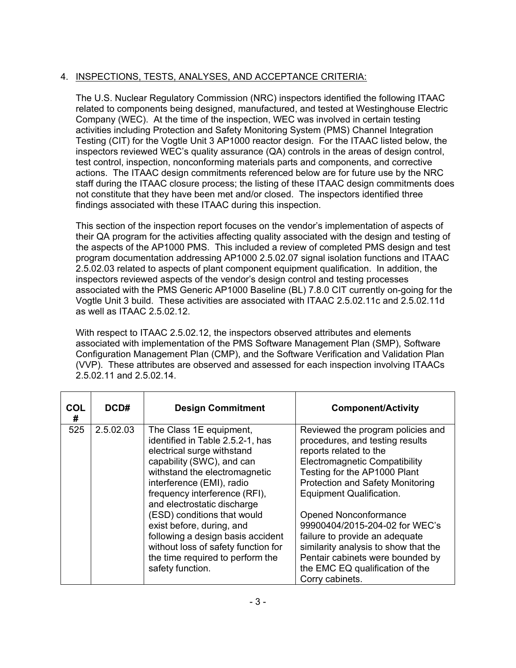# 4. INSPECTIONS, TESTS, ANALYSES, AND ACCEPTANCE CRITERIA:

The U.S. Nuclear Regulatory Commission (NRC) inspectors identified the following ITAAC related to components being designed, manufactured, and tested at Westinghouse Electric Company (WEC). At the time of the inspection, WEC was involved in certain testing activities including Protection and Safety Monitoring System (PMS) Channel Integration Testing (CIT) for the Vogtle Unit 3 AP1000 reactor design. For the ITAAC listed below, the inspectors reviewed WEC's quality assurance (QA) controls in the areas of design control, test control, inspection, nonconforming materials parts and components, and corrective actions. The ITAAC design commitments referenced below are for future use by the NRC staff during the ITAAC closure process; the listing of these ITAAC design commitments does not constitute that they have been met and/or closed. The inspectors identified three findings associated with these ITAAC during this inspection.

This section of the inspection report focuses on the vendor's implementation of aspects of their QA program for the activities affecting quality associated with the design and testing of the aspects of the AP1000 PMS. This included a review of completed PMS design and test program documentation addressing AP1000 2.5.02.07 signal isolation functions and ITAAC 2.5.02.03 related to aspects of plant component equipment qualification. In addition, the inspectors reviewed aspects of the vendor's design control and testing processes associated with the PMS Generic AP1000 Baseline (BL) 7.8.0 CIT currently on-going for the Vogtle Unit 3 build. These activities are associated with ITAAC 2.5.02.11c and 2.5.02.11d as well as ITAAC 2.5.02.12.

With respect to ITAAC 2.5.02.12, the inspectors observed attributes and elements associated with implementation of the PMS Software Management Plan (SMP), Software Configuration Management Plan (CMP), and the Software Verification and Validation Plan (VVP). These attributes are observed and assessed for each inspection involving ITAACs 2.5.02.11 and 2.5.02.14.

| <b>COL</b><br># | DCD#      | <b>Design Commitment</b>                                                                                                                                                                                                                                                                                                                                                                                                                             | <b>Component/Activity</b>                                                                                                                                                                                                                                                                                                                                                                                                                                                           |
|-----------------|-----------|------------------------------------------------------------------------------------------------------------------------------------------------------------------------------------------------------------------------------------------------------------------------------------------------------------------------------------------------------------------------------------------------------------------------------------------------------|-------------------------------------------------------------------------------------------------------------------------------------------------------------------------------------------------------------------------------------------------------------------------------------------------------------------------------------------------------------------------------------------------------------------------------------------------------------------------------------|
| 525             | 2.5.02.03 | The Class 1E equipment,<br>identified in Table 2.5.2-1, has<br>electrical surge withstand<br>capability (SWC), and can<br>withstand the electromagnetic<br>interference (EMI), radio<br>frequency interference (RFI),<br>and electrostatic discharge<br>(ESD) conditions that would<br>exist before, during, and<br>following a design basis accident<br>without loss of safety function for<br>the time required to perform the<br>safety function. | Reviewed the program policies and<br>procedures, and testing results<br>reports related to the<br><b>Electromagnetic Compatibility</b><br>Testing for the AP1000 Plant<br><b>Protection and Safety Monitoring</b><br><b>Equipment Qualification.</b><br>Opened Nonconformance<br>99900404/2015-204-02 for WEC's<br>failure to provide an adequate<br>similarity analysis to show that the<br>Pentair cabinets were bounded by<br>the EMC EQ qualification of the<br>Corry cabinets. |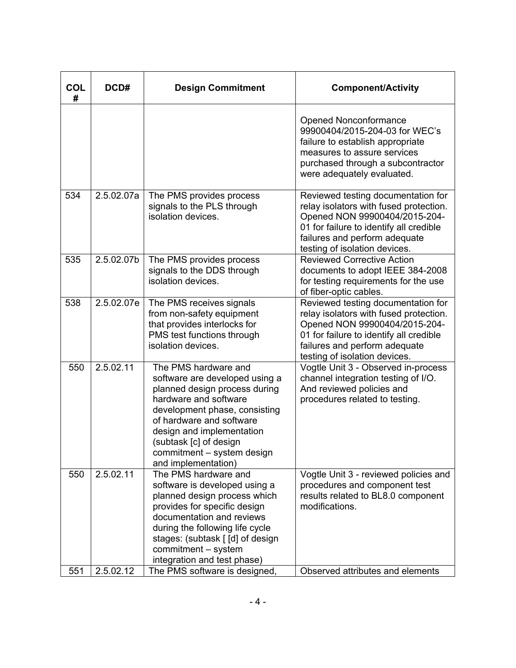| <b>COL</b><br># | DCD#       | <b>Design Commitment</b>                                                                                                                                                                                                                                                                  | <b>Component/Activity</b>                                                                                                                                                                                                  |
|-----------------|------------|-------------------------------------------------------------------------------------------------------------------------------------------------------------------------------------------------------------------------------------------------------------------------------------------|----------------------------------------------------------------------------------------------------------------------------------------------------------------------------------------------------------------------------|
|                 |            |                                                                                                                                                                                                                                                                                           | <b>Opened Nonconformance</b><br>99900404/2015-204-03 for WEC's<br>failure to establish appropriate<br>measures to assure services<br>purchased through a subcontractor<br>were adequately evaluated.                       |
| 534             | 2.5.02.07a | The PMS provides process<br>signals to the PLS through<br>isolation devices.                                                                                                                                                                                                              | Reviewed testing documentation for<br>relay isolators with fused protection.<br>Opened NON 99900404/2015-204-<br>01 for failure to identify all credible<br>failures and perform adequate<br>testing of isolation devices. |
| 535             | 2.5.02.07b | The PMS provides process<br>signals to the DDS through<br>isolation devices.                                                                                                                                                                                                              | <b>Reviewed Corrective Action</b><br>documents to adopt IEEE 384-2008<br>for testing requirements for the use<br>of fiber-optic cables.                                                                                    |
| 538             | 2.5.02.07e | The PMS receives signals<br>from non-safety equipment<br>that provides interlocks for<br>PMS test functions through<br>isolation devices.                                                                                                                                                 | Reviewed testing documentation for<br>relay isolators with fused protection.<br>Opened NON 99900404/2015-204-<br>01 for failure to identify all credible<br>failures and perform adequate<br>testing of isolation devices. |
| 550             | 2.5.02.11  | The PMS hardware and<br>software are developed using a<br>planned design process during<br>hardware and software<br>development phase, consisting<br>of hardware and software<br>design and implementation<br>(subtask [c] of design<br>commitment - system design<br>and implementation) | Vogtle Unit 3 - Observed in-process<br>channel integration testing of I/O.<br>And reviewed policies and<br>procedures related to testing.                                                                                  |
| 550             | 2.5.02.11  | The PMS hardware and<br>software is developed using a<br>planned design process which<br>provides for specific design<br>documentation and reviews<br>during the following life cycle<br>stages: (subtask [ [d] of design<br>commitment - system<br>integration and test phase)           | Vogtle Unit 3 - reviewed policies and<br>procedures and component test<br>results related to BL8.0 component<br>modifications.                                                                                             |
| 551             | 2.5.02.12  | The PMS software is designed,                                                                                                                                                                                                                                                             | Observed attributes and elements                                                                                                                                                                                           |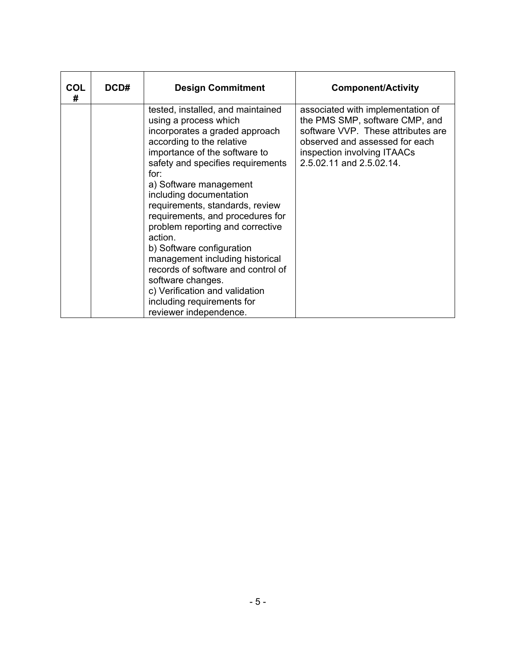| <b>COL</b><br># | DCD# | <b>Design Commitment</b>                                                                                                                                                                                                                                                                                                                                                                                                                                                                                                                                                                                | <b>Component/Activity</b>                                                                                                                                                                              |
|-----------------|------|---------------------------------------------------------------------------------------------------------------------------------------------------------------------------------------------------------------------------------------------------------------------------------------------------------------------------------------------------------------------------------------------------------------------------------------------------------------------------------------------------------------------------------------------------------------------------------------------------------|--------------------------------------------------------------------------------------------------------------------------------------------------------------------------------------------------------|
|                 |      | tested, installed, and maintained<br>using a process which<br>incorporates a graded approach<br>according to the relative<br>importance of the software to<br>safety and specifies requirements<br>for:<br>a) Software management<br>including documentation<br>requirements, standards, review<br>requirements, and procedures for<br>problem reporting and corrective<br>action.<br>b) Software configuration<br>management including historical<br>records of software and control of<br>software changes.<br>c) Verification and validation<br>including requirements for<br>reviewer independence. | associated with implementation of<br>the PMS SMP, software CMP, and<br>software VVP. These attributes are<br>observed and assessed for each<br>inspection involving ITAACs<br>2.5.02.11 and 2.5.02.14. |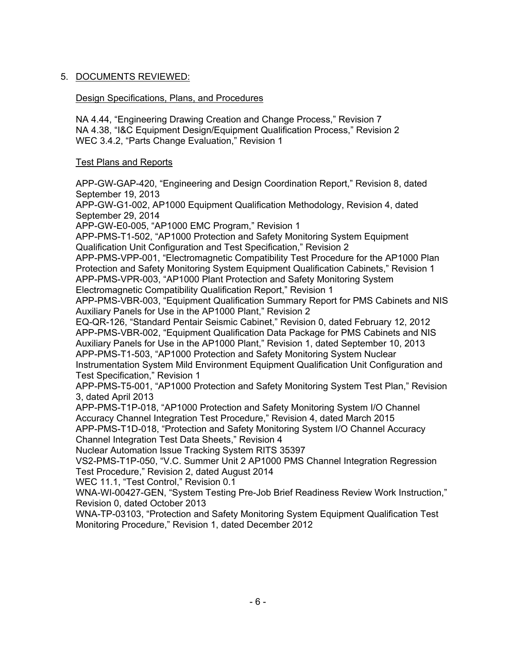# 5. DOCUMENTS REVIEWED:

# Design Specifications, Plans, and Procedures

NA 4.44, "Engineering Drawing Creation and Change Process," Revision 7 NA 4.38, "I&C Equipment Design/Equipment Qualification Process," Revision 2 WEC 3.4.2, "Parts Change Evaluation," Revision 1

## Test Plans and Reports

APP-GW-GAP-420, "Engineering and Design Coordination Report," Revision 8, dated September 19, 2013

APP-GW-G1-002, AP1000 Equipment Qualification Methodology, Revision 4, dated September 29, 2014

APP-GW-E0-005, "AP1000 EMC Program," Revision 1

APP-PMS-T1-502, "AP1000 Protection and Safety Monitoring System Equipment Qualification Unit Configuration and Test Specification," Revision 2

APP-PMS-VPP-001, "Electromagnetic Compatibility Test Procedure for the AP1000 Plan Protection and Safety Monitoring System Equipment Qualification Cabinets," Revision 1 APP-PMS-VPR-003, "AP1000 Plant Protection and Safety Monitoring System Electromagnetic Compatibility Qualification Report," Revision 1

APP-PMS-VBR-003, "Equipment Qualification Summary Report for PMS Cabinets and NIS Auxiliary Panels for Use in the AP1000 Plant," Revision 2

EQ-QR-126, "Standard Pentair Seismic Cabinet," Revision 0, dated February 12, 2012 APP-PMS-VBR-002, "Equipment Qualification Data Package for PMS Cabinets and NIS Auxiliary Panels for Use in the AP1000 Plant," Revision 1, dated September 10, 2013 APP-PMS-T1-503, "AP1000 Protection and Safety Monitoring System Nuclear Instrumentation System Mild Environment Equipment Qualification Unit Configuration and Test Specification," Revision 1

APP-PMS-T5-001, "AP1000 Protection and Safety Monitoring System Test Plan," Revision 3, dated April 2013

APP-PMS-T1P-018, "AP1000 Protection and Safety Monitoring System I/O Channel Accuracy Channel Integration Test Procedure," Revision 4, dated March 2015 APP-PMS-T1D-018, "Protection and Safety Monitoring System I/O Channel Accuracy Channel Integration Test Data Sheets," Revision 4

Nuclear Automation Issue Tracking System RITS 35397

VS2-PMS-T1P-050, "V.C. Summer Unit 2 AP1000 PMS Channel Integration Regression Test Procedure," Revision 2, dated August 2014

WEC 11.1, "Test Control," Revision 0.1

WNA-WI-00427-GEN, "System Testing Pre-Job Brief Readiness Review Work Instruction," Revision 0, dated October 2013

WNA-TP-03103, "Protection and Safety Monitoring System Equipment Qualification Test Monitoring Procedure," Revision 1, dated December 2012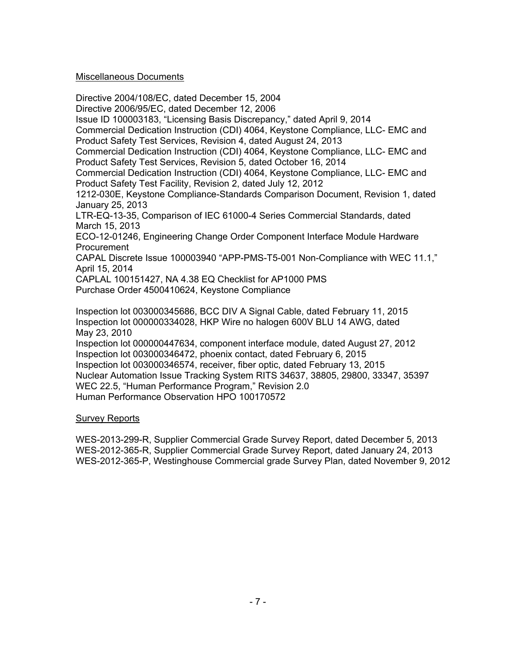### Miscellaneous Documents

Directive 2004/108/EC, dated December 15, 2004 Directive 2006/95/EC, dated December 12, 2006 Issue ID 100003183, "Licensing Basis Discrepancy," dated April 9, 2014 Commercial Dedication Instruction (CDI) 4064, Keystone Compliance, LLC- EMC and Product Safety Test Services, Revision 4, dated August 24, 2013 Commercial Dedication Instruction (CDI) 4064, Keystone Compliance, LLC- EMC and Product Safety Test Services, Revision 5, dated October 16, 2014 Commercial Dedication Instruction (CDI) 4064, Keystone Compliance, LLC- EMC and Product Safety Test Facility, Revision 2, dated July 12, 2012 1212-030E, Keystone Compliance-Standards Comparison Document, Revision 1, dated January 25, 2013 LTR-EQ-13-35, Comparison of IEC 61000-4 Series Commercial Standards, dated March 15, 2013 ECO-12-01246, Engineering Change Order Component Interface Module Hardware Procurement CAPAL Discrete Issue 100003940 "APP-PMS-T5-001 Non-Compliance with WEC 11.1," April 15, 2014 CAPLAL 100151427, NA 4.38 EQ Checklist for AP1000 PMS Purchase Order 4500410624, Keystone Compliance Inspection lot 003000345686, BCC DIV A Signal Cable, dated February 11, 2015 Inspection lot 000000334028, HKP Wire no halogen 600V BLU 14 AWG, dated May 23, 2010 Inspection lot 000000447634, component interface module, dated August 27, 2012

Inspection lot 003000346472, phoenix contact, dated February 6, 2015 Inspection lot 003000346574, receiver, fiber optic, dated February 13, 2015 Nuclear Automation Issue Tracking System RITS 34637, 38805, 29800, 33347, 35397 WEC 22.5, "Human Performance Program," Revision 2.0 Human Performance Observation HPO 100170572

## Survey Reports

WES-2013-299-R, Supplier Commercial Grade Survey Report, dated December 5, 2013 WES-2012-365-R, Supplier Commercial Grade Survey Report, dated January 24, 2013 WES-2012-365-P, Westinghouse Commercial grade Survey Plan, dated November 9, 2012